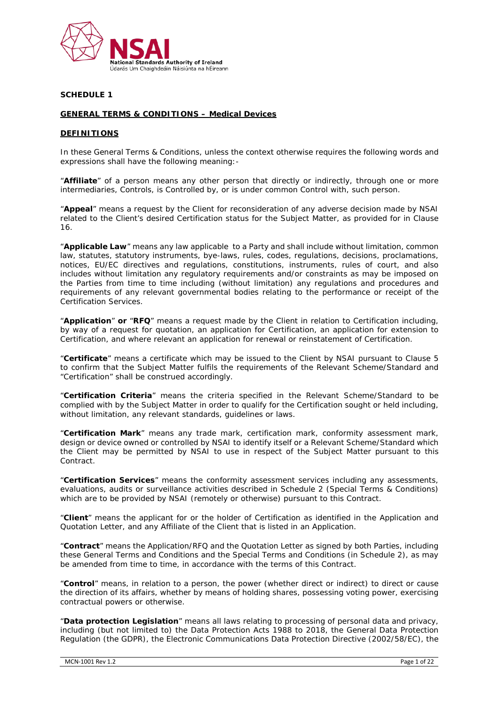

#### **SCHEDULE 1**

#### **GENERAL TERMS & CONDITIONS – Medical Devices**

# **DEFINITIONS**

In these General Terms & Conditions, unless the context otherwise requires the following words and expressions shall have the following meaning:-

"**Affiliate**" of a person means any other person that directly or indirectly, through one or more intermediaries, Controls, is Controlled by, or is under common Control with, such person.

"**Appeal**" means a request by the Client for reconsideration of any adverse decision made by NSAI related to the Client's desired Certification status for the Subject Matter, as provided for in Clause 16.

"**Applicable Law**" means any law applicable to a Party and shall include without limitation, common law, statutes, statutory instruments, bye-laws, rules, codes, regulations, decisions, proclamations, notices, EU/EC directives and regulations, constitutions, instruments, rules of court, and also includes without limitation any regulatory requirements and/or constraints as may be imposed on the Parties from time to time including (without limitation) any regulations and procedures and requirements of any relevant governmental bodies relating to the performance or receipt of the Certification Services.

"**Application**" **or** "**RFQ**" means a request made by the Client in relation to Certification including, by way of a request for quotation, an application for Certification, an application for extension to Certification, and where relevant an application for renewal or reinstatement of Certification.

"**Certificate**" means a certificate which may be issued to the Client by NSAI pursuant to Clause 5 to confirm that the Subject Matter fulfils the requirements of the Relevant Scheme/Standard and "Certification" shall be construed accordingly.

"**Certification Criteria**" means the criteria specified in the Relevant Scheme/Standard to be complied with by the Subject Matter in order to qualify for the Certification sought or held including, without limitation, any relevant standards, quidelines or laws.

"**Certification Mark**" means any trade mark, certification mark, conformity assessment mark, design or device owned or controlled by NSAI to identify itself or a Relevant Scheme/Standard which the Client may be permitted by NSAI to use in respect of the Subject Matter pursuant to this Contract.

"**Certification Services**" means the conformity assessment services including any assessments, evaluations, audits or surveillance activities described in Schedule 2 (Special Terms & Conditions) which are to be provided by NSAI (remotely or otherwise) pursuant to this Contract.

"**Client**" means the applicant for or the holder of Certification as identified in the Application and Quotation Letter, and any Affiliate of the Client that is listed in an Application.

"**Contract**" means the Application/RFQ and the Quotation Letter as signed by both Parties, including these General Terms and Conditions and the Special Terms and Conditions (in Schedule 2), as may be amended from time to time, in accordance with the terms of this Contract.

"**Control**" means, in relation to a person, the power (whether direct or indirect) to direct or cause the direction of its affairs, whether by means of holding shares, possessing voting power, exercising contractual powers or otherwise.

"**Data protection Legislation**" means all laws relating to processing of personal data and privacy, including (but not limited to) the Data Protection Acts 1988 to 2018, the General Data Protection Regulation (the GDPR), the Electronic Communications Data Protection Directive (2002/58/EC), the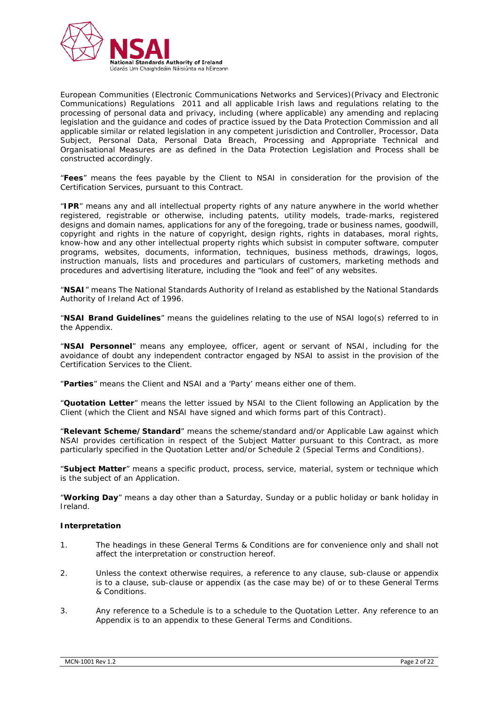

European Communities (Electronic Communications Networks and Services)(Privacy and Electronic Communications) Regulations 2011 and all applicable Irish laws and regulations relating to the processing of personal data and privacy, including (where applicable) any amending and replacing legislation and the guidance and codes of practice issued by the Data Protection Commission and all applicable similar or related legislation in any competent jurisdiction and Controller, Processor, Data Subject, Personal Data, Personal Data Breach, Processing and Appropriate Technical and Organisational Measures are as defined in the Data Protection Legislation and Process shall be constructed accordingly.

"**Fees**" means the fees payable by the Client to NSAI in consideration for the provision of the Certification Services, pursuant to this Contract.

"**IPR**" means any and all intellectual property rights of any nature anywhere in the world whether registered, registrable or otherwise, including patents, utility models, trade-marks, registered designs and domain names, applications for any of the foregoing, trade or business names, goodwill, copyright and rights in the nature of copyright, design rights, rights in databases, moral rights, know-how and any other intellectual property rights which subsist in computer software, computer programs, websites, documents, information, techniques, business methods, drawings, logos, instruction manuals, lists and procedures and particulars of customers, marketing methods and procedures and advertising literature, including the "look and feel" of any websites.

"**NSAI**" means The National Standards Authority of Ireland as established by the National Standards Authority of Ireland Act of 1996.

"**NSAI Brand Guidelines**" means the guidelines relating to the use of NSAI logo(s) referred to in the Appendix.

"**NSAI Personnel**" means any employee, officer, agent or servant of NSAI, including for the avoidance of doubt any independent contractor engaged by NSAI to assist in the provision of the Certification Services to the Client.

"**Parties**" means the Client and NSAI and a 'Party' means either one of them.

"**Quotation Letter**" means the letter issued by NSAI to the Client following an Application by the Client (which the Client and NSAI have signed and which forms part of this Contract).

"**Relevant Scheme/Standard**" means the scheme/standard and/or Applicable Law against which NSAI provides certification in respect of the Subject Matter pursuant to this Contract, as more particularly specified in the Quotation Letter and/or Schedule 2 (Special Terms and Conditions).

"**Subject Matter**" means a specific product, process, service, material, system or technique which is the subject of an Application.

"**Working Day**" means a day other than a Saturday, Sunday or a public holiday or bank holiday in Ireland.

## **Interpretation**

- 1. The headings in these General Terms & Conditions are for convenience only and shall not affect the interpretation or construction hereof.
- 2. Unless the context otherwise requires, a reference to any clause, sub-clause or appendix is to a clause, sub-clause or appendix (as the case may be) of or to these General Terms & Conditions.
- 3. Any reference to a Schedule is to a schedule to the Quotation Letter. Any reference to an Appendix is to an appendix to these General Terms and Conditions.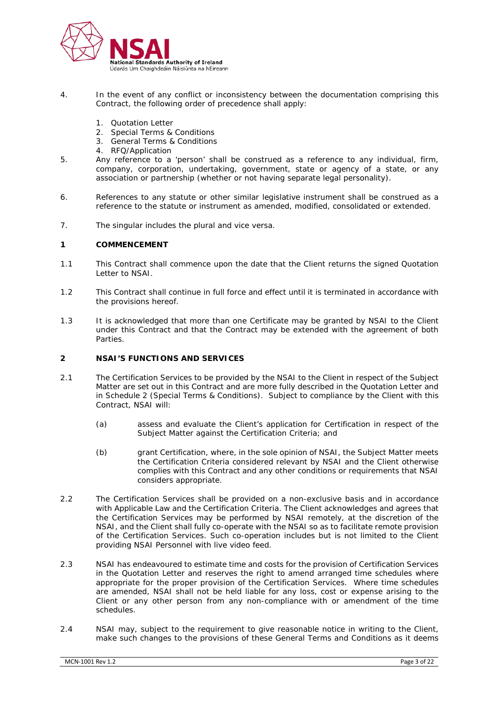

- 4. In the event of any conflict or inconsistency between the documentation comprising this Contract, the following order of precedence shall apply:
	- 1. Quotation Letter
	- 2. Special Terms & Conditions
	- 3. General Terms & Conditions
	- 4. RFQ/Application
- 5. Any reference to a 'person' shall be construed as a reference to any individual, firm, company, corporation, undertaking, government, state or agency of a state, or any association or partnership (whether or not having separate legal personality).
- 6. References to any statute or other similar legislative instrument shall be construed as a reference to the statute or instrument as amended, modified, consolidated or extended.
- 7. The singular includes the plural and vice versa.

#### **1 COMMENCEMENT**

- 1.1 This Contract shall commence upon the date that the Client returns the signed Quotation Letter to NSAI.
- 1.2 This Contract shall continue in full force and effect until it is terminated in accordance with the provisions hereof.
- 1.3 It is acknowledged that more than one Certificate may be granted by NSAI to the Client under this Contract and that the Contract may be extended with the agreement of both Parties.

# **2 NSAI'S FUNCTIONS AND SERVICES**

- 2.1 The Certification Services to be provided by the NSAI to the Client in respect of the Subject Matter are set out in this Contract and are more fully described in the Quotation Letter and in Schedule 2 (Special Terms & Conditions). Subject to compliance by the Client with this Contract, NSAI will:
	- (a) assess and evaluate the Client's application for Certification in respect of the Subject Matter against the Certification Criteria; and
	- (b) grant Certification, where, in the sole opinion of NSAI, the Subject Matter meets the Certification Criteria considered relevant by NSAI and the Client otherwise complies with this Contract and any other conditions or requirements that NSAI considers appropriate.
- 2.2 The Certification Services shall be provided on a non-exclusive basis and in accordance with Applicable Law and the Certification Criteria. The Client acknowledges and agrees that the Certification Services may be performed by NSAI remotely, at the discretion of the NSAI, and the Client shall fully co-operate with the NSAI so as to facilitate remote provision of the Certification Services. Such co-operation includes but is not limited to the Client providing NSAI Personnel with live video feed.
- 2.3 NSAI has endeavoured to estimate time and costs for the provision of Certification Services in the Quotation Letter and reserves the right to amend arranged time schedules where appropriate for the proper provision of the Certification Services. Where time schedules are amended, NSAI shall not be held liable for any loss, cost or expense arising to the Client or any other person from any non-compliance with or amendment of the time schedules.
- 2.4 NSAI may, subject to the requirement to give reasonable notice in writing to the Client, make such changes to the provisions of these General Terms and Conditions as it deems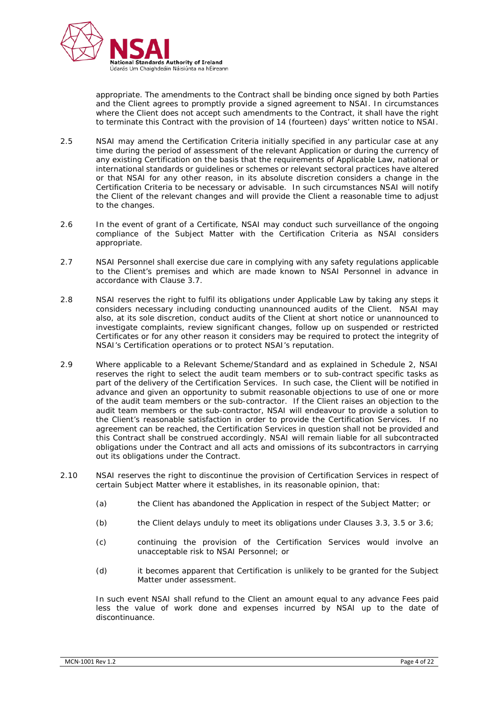

appropriate. The amendments to the Contract shall be binding once signed by both Parties and the Client agrees to promptly provide a signed agreement to NSAI. In circumstances where the Client does not accept such amendments to the Contract, it shall have the right to terminate this Contract with the provision of 14 (fourteen) days' written notice to NSAI.

- 2.5 NSAI may amend the Certification Criteria initially specified in any particular case at any time during the period of assessment of the relevant Application or during the currency of any existing Certification on the basis that the requirements of Applicable Law, national or international standards or guidelines or schemes or relevant sectoral practices have altered or that NSAI for any other reason, in its absolute discretion considers a change in the Certification Criteria to be necessary or advisable. In such circumstances NSAI will notify the Client of the relevant changes and will provide the Client a reasonable time to adjust to the changes.
- 2.6 In the event of grant of a Certificate, NSAI may conduct such surveillance of the ongoing compliance of the Subject Matter with the Certification Criteria as NSAI considers appropriate.
- 2.7 NSAI Personnel shall exercise due care in complying with any safety regulations applicable to the Client's premises and which are made known to NSAI Personnel in advance in accordance with Clause 3.7.
- 2.8 NSAI reserves the right to fulfil its obligations under Applicable Law by taking any steps it considers necessary including conducting unannounced audits of the Client. NSAI may also, at its sole discretion, conduct audits of the Client at short notice or unannounced to investigate complaints, review significant changes, follow up on suspended or restricted Certificates or for any other reason it considers may be required to protect the integrity of NSAI's Certification operations or to protect NSAI's reputation.
- 2.9 Where applicable to a Relevant Scheme/Standard and as explained in Schedule 2, NSAI reserves the right to select the audit team members or to sub-contract specific tasks as part of the delivery of the Certification Services. In such case, the Client will be notified in advance and given an opportunity to submit reasonable objections to use of one or more of the audit team members or the sub-contractor. If the Client raises an objection to the audit team members or the sub-contractor, NSAI will endeavour to provide a solution to the Client's reasonable satisfaction in order to provide the Certification Services. If no agreement can be reached, the Certification Services in question shall not be provided and this Contract shall be construed accordingly. NSAI will remain liable for all subcontracted obligations under the Contract and all acts and omissions of its subcontractors in carrying out its obligations under the Contract.
- 2.10 NSAI reserves the right to discontinue the provision of Certification Services in respect of certain Subject Matter where it establishes, in its reasonable opinion, that:
	- (a) the Client has abandoned the Application in respect of the Subject Matter; or
	- (b) the Client delays unduly to meet its obligations under Clauses 3.3, 3.5 or 3.6;
	- (c) continuing the provision of the Certification Services would involve an unacceptable risk to NSAI Personnel; or
	- (d) it becomes apparent that Certification is unlikely to be granted for the Subject Matter under assessment.

In such event NSAI shall refund to the Client an amount equal to any advance Fees paid less the value of work done and expenses incurred by NSAI up to the date of discontinuance.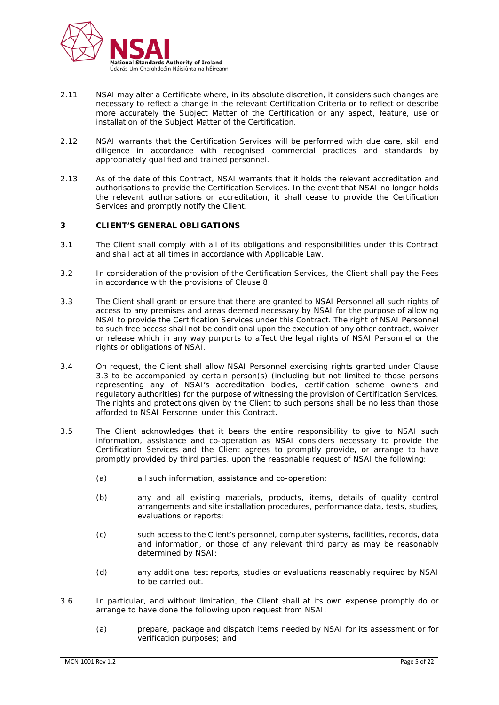

- 2.11 NSAI may alter a Certificate where, in its absolute discretion, it considers such changes are necessary to reflect a change in the relevant Certification Criteria or to reflect or describe more accurately the Subject Matter of the Certification or any aspect, feature, use or installation of the Subject Matter of the Certification.
- 2.12 NSAI warrants that the Certification Services will be performed with due care, skill and diligence in accordance with recognised commercial practices and standards by appropriately qualified and trained personnel.
- 2.13 As of the date of this Contract, NSAI warrants that it holds the relevant accreditation and authorisations to provide the Certification Services. In the event that NSAI no longer holds the relevant authorisations or accreditation, it shall cease to provide the Certification Services and promptly notify the Client.

# **3 CLIENT'S GENERAL OBLIGATIONS**

- 3.1 The Client shall comply with all of its obligations and responsibilities under this Contract and shall act at all times in accordance with Applicable Law.
- 3.2 In consideration of the provision of the Certification Services, the Client shall pay the Fees in accordance with the provisions of Clause 8.
- 3.3 The Client shall grant or ensure that there are granted to NSAI Personnel all such rights of access to any premises and areas deemed necessary by NSAI for the purpose of allowing NSAI to provide the Certification Services under this Contract. The right of NSAI Personnel to such free access shall not be conditional upon the execution of any other contract, waiver or release which in any way purports to affect the legal rights of NSAI Personnel or the rights or obligations of NSAI.
- 3.4 On request, the Client shall allow NSAI Personnel exercising rights granted under Clause 3.3 to be accompanied by certain person(s) (including but not limited to those persons representing any of NSAI's accreditation bodies, certification scheme owners and regulatory authorities) for the purpose of witnessing the provision of Certification Services. The rights and protections given by the Client to such persons shall be no less than those afforded to NSAI Personnel under this Contract.
- 3.5 The Client acknowledges that it bears the entire responsibility to give to NSAI such information, assistance and co-operation as NSAI considers necessary to provide the Certification Services and the Client agrees to promptly provide, or arrange to have promptly provided by third parties, upon the reasonable request of NSAI the following:
	- (a) all such information, assistance and co-operation;
	- (b) any and all existing materials, products, items, details of quality control arrangements and site installation procedures, performance data, tests, studies, evaluations or reports;
	- (c) such access to the Client's personnel, computer systems, facilities, records, data and information, or those of any relevant third party as may be reasonably determined by NSAI;
	- (d) any additional test reports, studies or evaluations reasonably required by NSAI to be carried out.
- 3.6 In particular, and without limitation, the Client shall at its own expense promptly do or arrange to have done the following upon request from NSAI:
	- (a) prepare, package and dispatch items needed by NSAI for its assessment or for verification purposes; and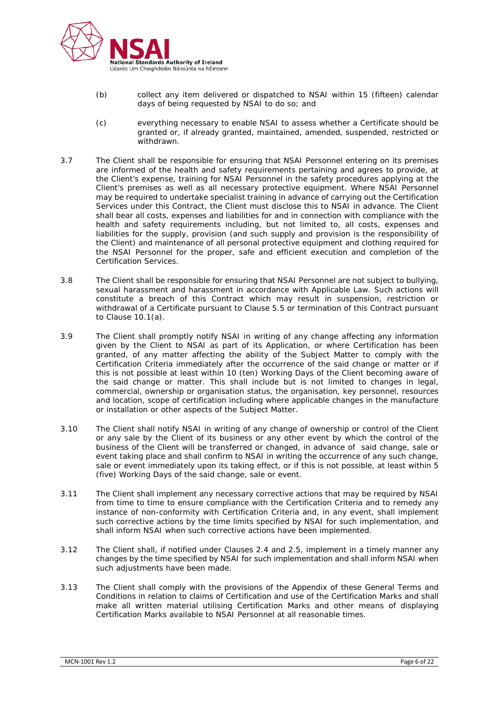

- (b) collect any item delivered or dispatched to NSAI within 15 (fifteen) calendar days of being requested by NSAI to do so; and
- (c) everything necessary to enable NSAI to assess whether a Certificate should be granted or, if already granted, maintained, amended, suspended, restricted or withdrawn.
- 3.7 The Client shall be responsible for ensuring that NSAI Personnel entering on its premises are informed of the health and safety requirements pertaining and agrees to provide, at the Client's expense, training for NSAI Personnel in the safety procedures applying at the Client's premises as well as all necessary protective equipment. Where NSAI Personnel may be required to undertake specialist training in advance of carrying out the Certification Services under this Contract, the Client must disclose this to NSAI in advance. The Client shall bear all costs, expenses and liabilities for and in connection with compliance with the health and safety requirements including, but not limited to, all costs, expenses and liabilities for the supply, provision (and such supply and provision is the responsibility of the Client) and maintenance of all personal protective equipment and clothing required for the NSAI Personnel for the proper, safe and efficient execution and completion of the Certification Services.
- 3.8 The Client shall be responsible for ensuring that NSAI Personnel are not subject to bullying, sexual harassment and harassment in accordance with Applicable Law. Such actions will constitute a breach of this Contract which may result in suspension, restriction or withdrawal of a Certificate pursuant to Clause 5.5 or termination of this Contract pursuant to Clause 10.1(a).
- 3.9 The Client shall promptly notify NSAI in writing of any change affecting any information given by the Client to NSAI as part of its Application, or where Certification has been granted, of any matter affecting the ability of the Subject Matter to comply with the Certification Criteria immediately after the occurrence of the said change or matter or if this is not possible at least within 10 (ten) Working Days of the Client becoming aware of the said change or matter. This shall include but is not limited to changes in legal, commercial, ownership or organisation status, the organisation, key personnel, resources and location, scope of certification including where applicable changes in the manufacture or installation or other aspects of the Subject Matter.
- 3.10 The Client shall notify NSAI in writing of any change of ownership or control of the Client or any sale by the Client of its business or any other event by which the control of the business of the Client will be transferred or changed, in advance of said change, sale or event taking place and shall confirm to NSAI in writing the occurrence of any such change, sale or event immediately upon its taking effect, or if this is not possible, at least within 5 (five) Working Days of the said change, sale or event.
- 3.11 The Client shall implement any necessary corrective actions that may be required by NSAI from time to time to ensure compliance with the Certification Criteria and to remedy any instance of non-conformity with Certification Criteria and, in any event, shall implement such corrective actions by the time limits specified by NSAI for such implementation, and shall inform NSAI when such corrective actions have been implemented.
- 3.12 The Client shall, if notified under Clauses 2.4 and 2.5, implement in a timely manner any changes by the time specified by NSAI for such implementation and shall inform NSAI when such adjustments have been made.
- 3.13 The Client shall comply with the provisions of the Appendix of these General Terms and Conditions in relation to claims of Certification and use of the Certification Marks and shall make all written material utilising Certification Marks and other means of displaying Certification Marks available to NSAI Personnel at all reasonable times.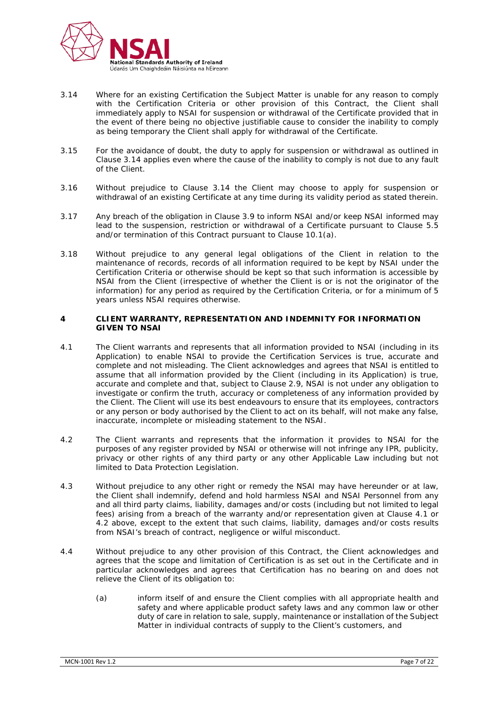

- 3.14 Where for an existing Certification the Subject Matter is unable for any reason to comply with the Certification Criteria or other provision of this Contract, the Client shall immediately apply to NSAI for suspension or withdrawal of the Certificate provided that in the event of there being no objective justifiable cause to consider the inability to comply as being temporary the Client shall apply for withdrawal of the Certificate.
- 3.15 For the avoidance of doubt, the duty to apply for suspension or withdrawal as outlined in Clause 3.14 applies even where the cause of the inability to comply is not due to any fault of the Client.
- 3.16 Without prejudice to Clause 3.14 the Client may choose to apply for suspension or withdrawal of an existing Certificate at any time during its validity period as stated therein.
- 3.17 Any breach of the obligation in Clause 3.9 to inform NSAI and/or keep NSAI informed may lead to the suspension, restriction or withdrawal of a Certificate pursuant to Clause 5.5 and/or termination of this Contract pursuant to Clause 10.1(a).
- 3.18 Without prejudice to any general legal obligations of the Client in relation to the maintenance of records, records of all information required to be kept by NSAI under the Certification Criteria or otherwise should be kept so that such information is accessible by NSAI from the Client (irrespective of whether the Client is or is not the originator of the information) for any period as required by the Certification Criteria, or for a minimum of 5 years unless NSAI requires otherwise.

# **4 CLIENT WARRANTY, REPRESENTATION AND INDEMNITY FOR INFORMATION GIVEN TO NSAI**

- 4.1 The Client warrants and represents that all information provided to NSAI (including in its Application) to enable NSAI to provide the Certification Services is true, accurate and complete and not misleading. The Client acknowledges and agrees that NSAI is entitled to assume that all information provided by the Client (including in its Application) is true, accurate and complete and that, subject to Clause 2.9, NSAI is not under any obligation to investigate or confirm the truth, accuracy or completeness of any information provided by the Client. The Client will use its best endeavours to ensure that its employees, contractors or any person or body authorised by the Client to act on its behalf, will not make any false, inaccurate, incomplete or misleading statement to the NSAI.
- 4.2 The Client warrants and represents that the information it provides to NSAI for the purposes of any register provided by NSAI or otherwise will not infringe any IPR, publicity, privacy or other rights of any third party or any other Applicable Law including but not limited to Data Protection Legislation.
- 4.3 Without prejudice to any other right or remedy the NSAI may have hereunder or at law, the Client shall indemnify, defend and hold harmless NSAI and NSAI Personnel from any and all third party claims, liability, damages and/or costs (including but not limited to legal fees) arising from a breach of the warranty and/or representation given at Clause 4.1 or 4.2 above, except to the extent that such claims, liability, damages and/or costs results from NSAI's breach of contract, negligence or wilful misconduct.
- 4.4 Without prejudice to any other provision of this Contract, the Client acknowledges and agrees that the scope and limitation of Certification is as set out in the Certificate and in particular acknowledges and agrees that Certification has no bearing on and does not relieve the Client of its obligation to:
	- (a) inform itself of and ensure the Client complies with all appropriate health and safety and where applicable product safety laws and any common law or other duty of care in relation to sale, supply, maintenance or installation of the Subject Matter in individual contracts of supply to the Client's customers, and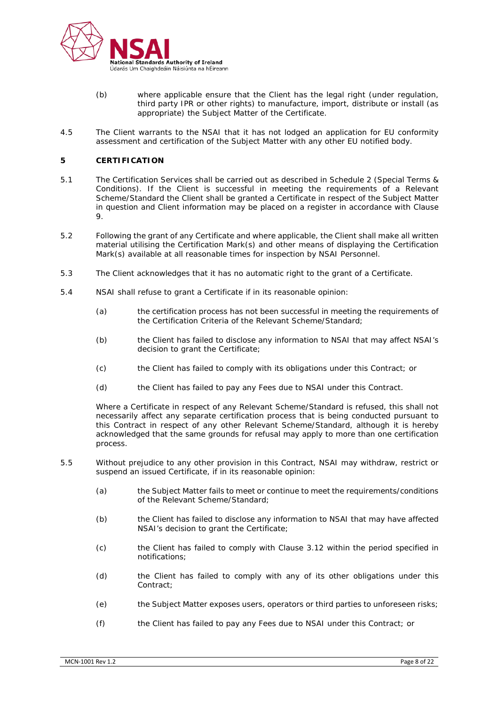

- (b) where applicable ensure that the Client has the legal right (under regulation, third party IPR or other rights) to manufacture, import, distribute or install (as appropriate) the Subject Matter of the Certificate.
- 4.5 The Client warrants to the NSAI that it has not lodged an application for EU conformity assessment and certification of the Subject Matter with any other EU notified body.

# **5 CERTIFICATION**

- 5.1 The Certification Services shall be carried out as described in Schedule 2 (Special Terms & Conditions). If the Client is successful in meeting the requirements of a Relevant Scheme/Standard the Client shall be granted a Certificate in respect of the Subject Matter in question and Client information may be placed on a register in accordance with Clause 9.
- 5.2 Following the grant of any Certificate and where applicable, the Client shall make all written material utilising the Certification Mark(s) and other means of displaying the Certification Mark(s) available at all reasonable times for inspection by NSAI Personnel.
- 5.3 The Client acknowledges that it has no automatic right to the grant of a Certificate.
- 5.4 NSAI shall refuse to grant a Certificate if in its reasonable opinion:
	- (a) the certification process has not been successful in meeting the requirements of the Certification Criteria of the Relevant Scheme/Standard;
	- (b) the Client has failed to disclose any information to NSAI that may affect NSAI's decision to grant the Certificate;
	- (c) the Client has failed to comply with its obligations under this Contract; or
	- (d) the Client has failed to pay any Fees due to NSAI under this Contract.

Where a Certificate in respect of any Relevant Scheme/Standard is refused, this shall not necessarily affect any separate certification process that is being conducted pursuant to this Contract in respect of any other Relevant Scheme/Standard, although it is hereby acknowledged that the same grounds for refusal may apply to more than one certification process.

- 5.5 Without prejudice to any other provision in this Contract, NSAI may withdraw, restrict or suspend an issued Certificate, if in its reasonable opinion:
	- (a) the Subject Matter fails to meet or continue to meet the requirements/conditions of the Relevant Scheme/Standard;
	- (b) the Client has failed to disclose any information to NSAI that may have affected NSAI's decision to grant the Certificate;
	- (c) the Client has failed to comply with Clause 3.12 within the period specified in notifications;
	- (d) the Client has failed to comply with any of its other obligations under this Contract;
	- (e) the Subject Matter exposes users, operators or third parties to unforeseen risks;
	- (f) the Client has failed to pay any Fees due to NSAI under this Contract; or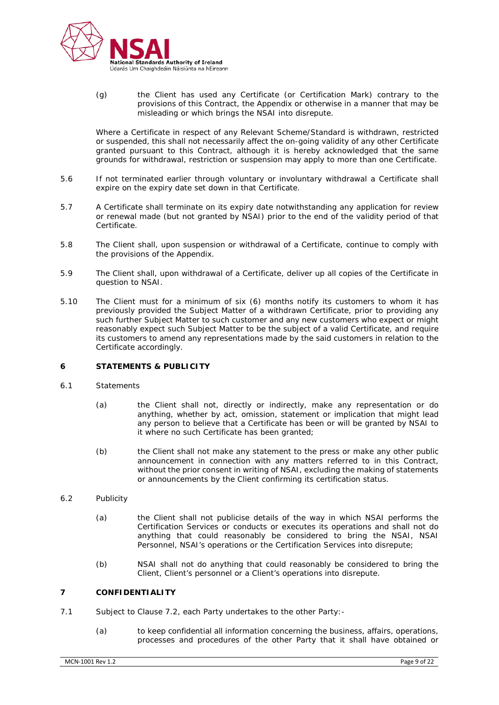

(g) the Client has used any Certificate (or Certification Mark) contrary to the provisions of this Contract, the Appendix or otherwise in a manner that may be misleading or which brings the NSAI into disrepute.

Where a Certificate in respect of any Relevant Scheme/Standard is withdrawn, restricted or suspended, this shall not necessarily affect the on-going validity of any other Certificate granted pursuant to this Contract, although it is hereby acknowledged that the same grounds for withdrawal, restriction or suspension may apply to more than one Certificate.

- 5.6 If not terminated earlier through voluntary or involuntary withdrawal a Certificate shall expire on the expiry date set down in that Certificate.
- 5.7 A Certificate shall terminate on its expiry date notwithstanding any application for review or renewal made (but not granted by NSAI) prior to the end of the validity period of that Certificate.
- 5.8 The Client shall, upon suspension or withdrawal of a Certificate, continue to comply with the provisions of the Appendix.
- 5.9 The Client shall, upon withdrawal of a Certificate, deliver up all copies of the Certificate in question to NSAI.
- 5.10 The Client must for a minimum of six (6) months notify its customers to whom it has previously provided the Subject Matter of a withdrawn Certificate, prior to providing any such further Subject Matter to such customer and any new customers who expect or might reasonably expect such Subject Matter to be the subject of a valid Certificate, and require its customers to amend any representations made by the said customers in relation to the Certificate accordingly.

# **6 STATEMENTS & PUBLICITY**

- 6.1 Statements
	- (a) the Client shall not, directly or indirectly, make any representation or do anything, whether by act, omission, statement or implication that might lead any person to believe that a Certificate has been or will be granted by NSAI to it where no such Certificate has been granted;
	- (b) the Client shall not make any statement to the press or make any other public announcement in connection with any matters referred to in this Contract, without the prior consent in writing of NSAI, excluding the making of statements or announcements by the Client confirming its certification status.
- 6.2 Publicity
	- (a) the Client shall not publicise details of the way in which NSAI performs the Certification Services or conducts or executes its operations and shall not do anything that could reasonably be considered to bring the NSAI, NSAI Personnel, NSAI's operations or the Certification Services into disrepute;
	- (b) NSAI shall not do anything that could reasonably be considered to bring the Client, Client's personnel or a Client's operations into disrepute.

#### **7 CONFIDENTIALITY**

- 7.1 Subject to Clause 7.2, each Party undertakes to the other Party:-
	- (a) to keep confidential all information concerning the business, affairs, operations, processes and procedures of the other Party that it shall have obtained or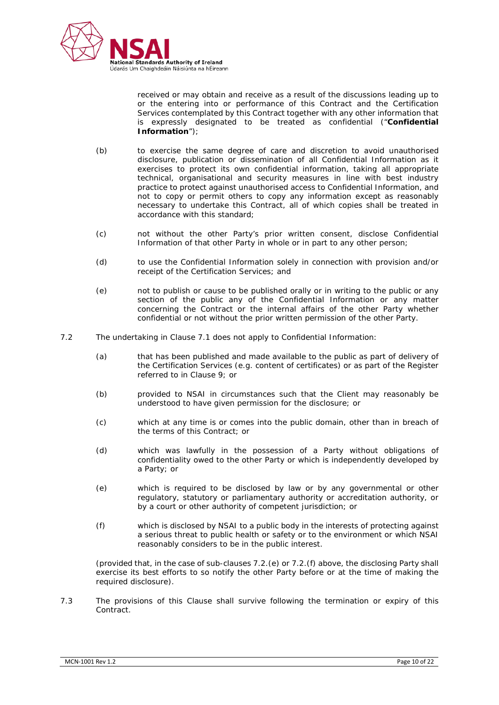

received or may obtain and receive as a result of the discussions leading up to or the entering into or performance of this Contract and the Certification Services contemplated by this Contract together with any other information that is expressly designated to be treated as confidential ("**Confidential Information**");

- (b) to exercise the same degree of care and discretion to avoid unauthorised disclosure, publication or dissemination of all Confidential Information as it exercises to protect its own confidential information, taking all appropriate technical, organisational and security measures in line with best industry practice to protect against unauthorised access to Confidential Information, and not to copy or permit others to copy any information except as reasonably necessary to undertake this Contract, all of which copies shall be treated in accordance with this standard;
- (c) not without the other Party's prior written consent, disclose Confidential Information of that other Party in whole or in part to any other person;
- (d) to use the Confidential Information solely in connection with provision and/or receipt of the Certification Services; and
- (e) not to publish or cause to be published orally or in writing to the public or any section of the public any of the Confidential Information or any matter concerning the Contract or the internal affairs of the other Party whether confidential or not without the prior written permission of the other Party.
- 7.2 The undertaking in Clause 7.1 does not apply to Confidential Information:
	- (a) that has been published and made available to the public as part of delivery of the Certification Services (e.g. content of certificates) or as part of the Register referred to in Clause 9; or
	- (b) provided to NSAI in circumstances such that the Client may reasonably be understood to have given permission for the disclosure; or
	- (c) which at any time is or comes into the public domain, other than in breach of the terms of this Contract; or
	- (d) which was lawfully in the possession of a Party without obligations of confidentiality owed to the other Party or which is independently developed by a Party; or
	- (e) which is required to be disclosed by law or by any governmental or other regulatory, statutory or parliamentary authority or accreditation authority, or by a court or other authority of competent jurisdiction; or
	- (f) which is disclosed by NSAI to a public body in the interests of protecting against a serious threat to public health or safety or to the environment or which NSAI reasonably considers to be in the public interest.

(provided that, in the case of sub-clauses 7.2.(e) or 7.2.(f) above, the disclosing Party shall exercise its best efforts to so notify the other Party before or at the time of making the required disclosure).

7.3 The provisions of this Clause shall survive following the termination or expiry of this Contract.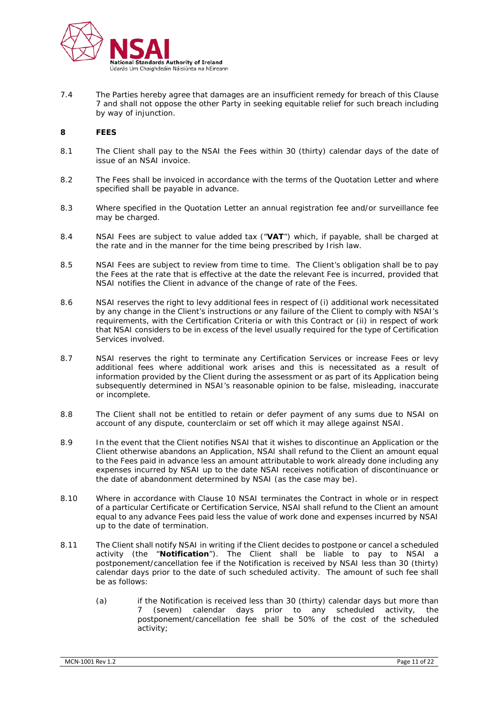

7.4 The Parties hereby agree that damages are an insufficient remedy for breach of this Clause 7 and shall not oppose the other Party in seeking equitable relief for such breach including by way of injunction.

# **8 FEES**

- 8.1 The Client shall pay to the NSAI the Fees within 30 (thirty) calendar days of the date of issue of an NSAI invoice.
- 8.2 The Fees shall be invoiced in accordance with the terms of the Quotation Letter and where specified shall be payable in advance.
- 8.3 Where specified in the Quotation Letter an annual registration fee and/or surveillance fee may be charged.
- 8.4 NSAI Fees are subject to value added tax ("**VAT**") which, if payable, shall be charged at the rate and in the manner for the time being prescribed by Irish law.
- 8.5 NSAI Fees are subject to review from time to time. The Client's obligation shall be to pay the Fees at the rate that is effective at the date the relevant Fee is incurred, provided that NSAI notifies the Client in advance of the change of rate of the Fees.
- 8.6 NSAI reserves the right to levy additional fees in respect of (i) additional work necessitated by any change in the Client's instructions or any failure of the Client to comply with NSAI's requirements, with the Certification Criteria or with this Contract or (ii) in respect of work that NSAI considers to be in excess of the level usually required for the type of Certification Services involved.
- 8.7 NSAI reserves the right to terminate any Certification Services or increase Fees or levy additional fees where additional work arises and this is necessitated as a result of information provided by the Client during the assessment or as part of its Application being subsequently determined in NSAI's reasonable opinion to be false, misleading, inaccurate or incomplete.
- 8.8 The Client shall not be entitled to retain or defer payment of any sums due to NSAI on account of any dispute, counterclaim or set off which it may allege against NSAI.
- 8.9 In the event that the Client notifies NSAI that it wishes to discontinue an Application or the Client otherwise abandons an Application, NSAI shall refund to the Client an amount equal to the Fees paid in advance less an amount attributable to work already done including any expenses incurred by NSAI up to the date NSAI receives notification of discontinuance or the date of abandonment determined by NSAI (as the case may be).
- 8.10 Where in accordance with Clause 10 NSAI terminates the Contract in whole or in respect of a particular Certificate or Certification Service, NSAI shall refund to the Client an amount equal to any advance Fees paid less the value of work done and expenses incurred by NSAI up to the date of termination.
- 8.11 The Client shall notify NSAI in writing if the Client decides to postpone or cancel a scheduled activity (the "**Notification**"). The Client shall be liable to pay to NSAI a postponement/cancellation fee if the Notification is received by NSAI less than 30 (thirty) calendar days prior to the date of such scheduled activity. The amount of such fee shall be as follows:
	- (a) if the Notification is received less than 30 (thirty) calendar days but more than 7 (seven) calendar days prior to any scheduled activity, the postponement/cancellation fee shall be 50% of the cost of the scheduled activity;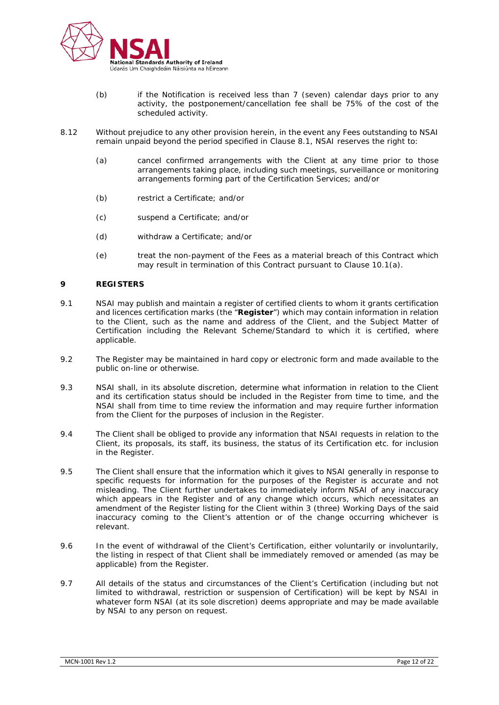

- (b) if the Notification is received less than 7 (seven) calendar days prior to any activity, the postponement/cancellation fee shall be 75% of the cost of the scheduled activity.
- 8.12 Without prejudice to any other provision herein, in the event any Fees outstanding to NSAI remain unpaid beyond the period specified in Clause 8.1, NSAI reserves the right to:
	- (a) cancel confirmed arrangements with the Client at any time prior to those arrangements taking place, including such meetings, surveillance or monitoring arrangements forming part of the Certification Services; and/or
	- (b) restrict a Certificate; and/or
	- (c) suspend a Certificate; and/or
	- (d) withdraw a Certificate; and/or
	- (e) treat the non-payment of the Fees as a material breach of this Contract which may result in termination of this Contract pursuant to Clause 10.1(a).

#### **9 REGISTERS**

- 9.1 NSAI may publish and maintain a register of certified clients to whom it grants certification and licences certification marks (the "**Register**") which may contain information in relation to the Client, such as the name and address of the Client, and the Subject Matter of Certification including the Relevant Scheme/Standard to which it is certified, where applicable.
- 9.2 The Register may be maintained in hard copy or electronic form and made available to the public on-line or otherwise.
- 9.3 NSAI shall, in its absolute discretion, determine what information in relation to the Client and its certification status should be included in the Register from time to time, and the NSAI shall from time to time review the information and may require further information from the Client for the purposes of inclusion in the Register.
- 9.4 The Client shall be obliged to provide any information that NSAI requests in relation to the Client, its proposals, its staff, its business, the status of its Certification etc. for inclusion in the Register.
- 9.5 The Client shall ensure that the information which it gives to NSAI generally in response to specific requests for information for the purposes of the Register is accurate and not misleading. The Client further undertakes to immediately inform NSAI of any inaccuracy which appears in the Register and of any change which occurs, which necessitates an amendment of the Register listing for the Client within 3 (three) Working Days of the said inaccuracy coming to the Client's attention or of the change occurring whichever is relevant.
- 9.6 In the event of withdrawal of the Client's Certification, either voluntarily or involuntarily, the listing in respect of that Client shall be immediately removed or amended (as may be applicable) from the Register.
- 9.7 All details of the status and circumstances of the Client's Certification (including but not limited to withdrawal, restriction or suspension of Certification) will be kept by NSAI in whatever form NSAI (at its sole discretion) deems appropriate and may be made available by NSAI to any person on request.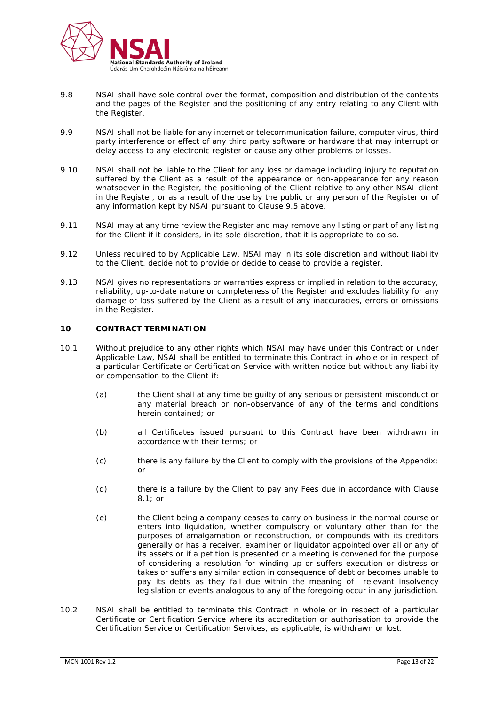

- 9.8 NSAI shall have sole control over the format, composition and distribution of the contents and the pages of the Register and the positioning of any entry relating to any Client with the Register.
- 9.9 NSAI shall not be liable for any internet or telecommunication failure, computer virus, third party interference or effect of any third party software or hardware that may interrupt or delay access to any electronic register or cause any other problems or losses.
- 9.10 NSAI shall not be liable to the Client for any loss or damage including injury to reputation suffered by the Client as a result of the appearance or non-appearance for any reason whatsoever in the Register, the positioning of the Client relative to any other NSAI client in the Register, or as a result of the use by the public or any person of the Register or of any information kept by NSAI pursuant to Clause 9.5 above.
- 9.11 NSAI may at any time review the Register and may remove any listing or part of any listing for the Client if it considers, in its sole discretion, that it is appropriate to do so.
- 9.12 Unless required to by Applicable Law, NSAI may in its sole discretion and without liability to the Client, decide not to provide or decide to cease to provide a register.
- 9.13 NSAI gives no representations or warranties express or implied in relation to the accuracy, reliability, up-to-date nature or completeness of the Register and excludes liability for any damage or loss suffered by the Client as a result of any inaccuracies, errors or omissions in the Register.

# **10 CONTRACT TERMINATION**

- 10.1 Without prejudice to any other rights which NSAI may have under this Contract or under Applicable Law, NSAI shall be entitled to terminate this Contract in whole or in respect of a particular Certificate or Certification Service with written notice but without any liability or compensation to the Client if:
	- (a) the Client shall at any time be guilty of any serious or persistent misconduct or any material breach or non-observance of any of the terms and conditions herein contained; or
	- (b) all Certificates issued pursuant to this Contract have been withdrawn in accordance with their terms; or
	- (c) there is any failure by the Client to comply with the provisions of the Appendix; or
	- (d) there is a failure by the Client to pay any Fees due in accordance with Clause 8.1; or
	- (e) the Client being a company ceases to carry on business in the normal course or enters into liquidation, whether compulsory or voluntary other than for the purposes of amalgamation or reconstruction, or compounds with its creditors generally or has a receiver, examiner or liquidator appointed over all or any of its assets or if a petition is presented or a meeting is convened for the purpose of considering a resolution for winding up or suffers execution or distress or takes or suffers any similar action in consequence of debt or becomes unable to pay its debts as they fall due within the meaning of relevant insolvency legislation or events analogous to any of the foregoing occur in any jurisdiction.
- 10.2 NSAI shall be entitled to terminate this Contract in whole or in respect of a particular Certificate or Certification Service where its accreditation or authorisation to provide the Certification Service or Certification Services, as applicable, is withdrawn or lost.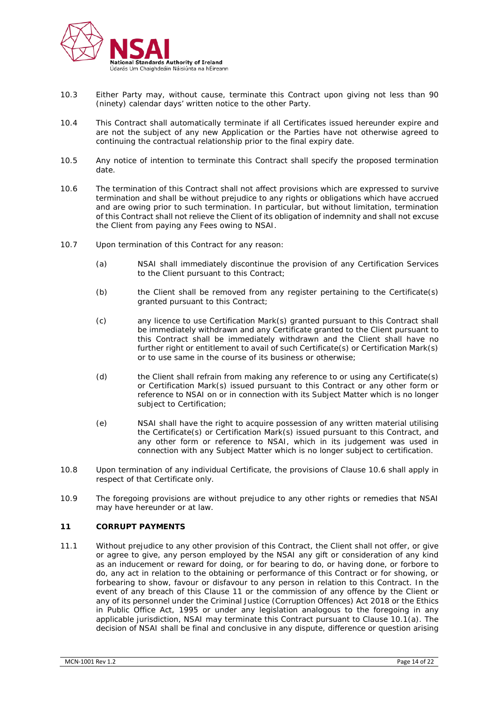

- 10.3 Either Party may, without cause, terminate this Contract upon giving not less than 90 (ninety) calendar days' written notice to the other Party.
- 10.4 This Contract shall automatically terminate if all Certificates issued hereunder expire and are not the subject of any new Application or the Parties have not otherwise agreed to continuing the contractual relationship prior to the final expiry date.
- 10.5 Any notice of intention to terminate this Contract shall specify the proposed termination date.
- 10.6 The termination of this Contract shall not affect provisions which are expressed to survive termination and shall be without prejudice to any rights or obligations which have accrued and are owing prior to such termination. In particular, but without limitation, termination of this Contract shall not relieve the Client of its obligation of indemnity and shall not excuse the Client from paying any Fees owing to NSAI.
- 10.7 Upon termination of this Contract for any reason:
	- (a) NSAI shall immediately discontinue the provision of any Certification Services to the Client pursuant to this Contract;
	- (b) the Client shall be removed from any register pertaining to the Certificate(s) granted pursuant to this Contract;
	- (c) any licence to use Certification Mark(s) granted pursuant to this Contract shall be immediately withdrawn and any Certificate granted to the Client pursuant to this Contract shall be immediately withdrawn and the Client shall have no further right or entitlement to avail of such Certificate(s) or Certification Mark(s) or to use same in the course of its business or otherwise;
	- (d) the Client shall refrain from making any reference to or using any Certificate(s) or Certification Mark(s) issued pursuant to this Contract or any other form or reference to NSAI on or in connection with its Subject Matter which is no longer subject to Certification;
	- (e) NSAI shall have the right to acquire possession of any written material utilising the Certificate(s) or Certification Mark(s) issued pursuant to this Contract, and any other form or reference to NSAI, which in its judgement was used in connection with any Subject Matter which is no longer subject to certification.
- 10.8 Upon termination of any individual Certificate, the provisions of Clause 10.6 shall apply in respect of that Certificate only.
- 10.9 The foregoing provisions are without prejudice to any other rights or remedies that NSAI may have hereunder or at law.

# **11 CORRUPT PAYMENTS**

11.1 Without prejudice to any other provision of this Contract, the Client shall not offer, or give or agree to give, any person employed by the NSAI any gift or consideration of any kind as an inducement or reward for doing, or for bearing to do, or having done, or forbore to do, any act in relation to the obtaining or performance of this Contract or for showing, or forbearing to show, favour or disfavour to any person in relation to this Contract. In the event of any breach of this Clause 11 or the commission of any offence by the Client or any of its personnel under the Criminal Justice (Corruption Offences) Act 2018 or the Ethics in Public Office Act, 1995 or under any legislation analogous to the foregoing in any applicable jurisdiction, NSAI may terminate this Contract pursuant to Clause 10.1(a). The decision of NSAI shall be final and conclusive in any dispute, difference or question arising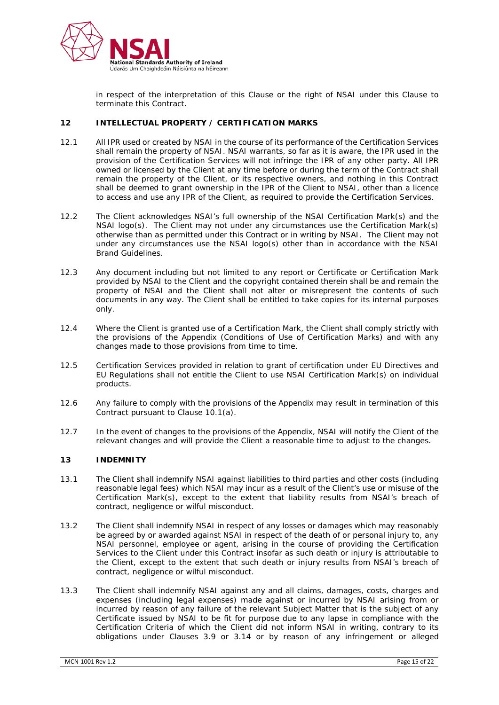

in respect of the interpretation of this Clause or the right of NSAI under this Clause to terminate this Contract.

#### **12 INTELLECTUAL PROPERTY / CERTIFICATION MARKS**

- 12.1 All IPR used or created by NSAI in the course of its performance of the Certification Services shall remain the property of NSAI. NSAI warrants, so far as it is aware, the IPR used in the provision of the Certification Services will not infringe the IPR of any other party. All IPR owned or licensed by the Client at any time before or during the term of the Contract shall remain the property of the Client, or its respective owners, and nothing in this Contract shall be deemed to grant ownership in the IPR of the Client to NSAI, other than a licence to access and use any IPR of the Client, as required to provide the Certification Services.
- 12.2 The Client acknowledges NSAI's full ownership of the NSAI Certification Mark(s) and the NSAI logo(s). The Client may not under any circumstances use the Certification Mark(s) otherwise than as permitted under this Contract or in writing by NSAI. The Client may not under any circumstances use the NSAI logo(s) other than in accordance with the NSAI Brand Guidelines.
- 12.3 Any document including but not limited to any report or Certificate or Certification Mark provided by NSAI to the Client and the copyright contained therein shall be and remain the property of NSAI and the Client shall not alter or misrepresent the contents of such documents in any way. The Client shall be entitled to take copies for its internal purposes only.
- 12.4 Where the Client is granted use of a Certification Mark, the Client shall comply strictly with the provisions of the Appendix (Conditions of Use of Certification Marks) and with any changes made to those provisions from time to time.
- 12.5 Certification Services provided in relation to grant of certification under EU Directives and EU Regulations shall not entitle the Client to use NSAI Certification Mark(s) on individual products.
- 12.6 Any failure to comply with the provisions of the Appendix may result in termination of this Contract pursuant to Clause 10.1(a).
- 12.7 In the event of changes to the provisions of the Appendix, NSAI will notify the Client of the relevant changes and will provide the Client a reasonable time to adjust to the changes.

## **13 INDEMNITY**

- 13.1 The Client shall indemnify NSAI against liabilities to third parties and other costs (including reasonable legal fees) which NSAI may incur as a result of the Client's use or misuse of the Certification Mark(s), except to the extent that liability results from NSAI's breach of contract, negligence or wilful misconduct.
- 13.2 The Client shall indemnify NSAI in respect of any losses or damages which may reasonably be agreed by or awarded against NSAI in respect of the death of or personal injury to, any NSAI personnel, employee or agent, arising in the course of providing the Certification Services to the Client under this Contract insofar as such death or injury is attributable to the Client, except to the extent that such death or injury results from NSAI's breach of contract, negligence or wilful misconduct.
- 13.3 The Client shall indemnify NSAI against any and all claims, damages, costs, charges and expenses (including legal expenses) made against or incurred by NSAI arising from or incurred by reason of any failure of the relevant Subject Matter that is the subject of any Certificate issued by NSAI to be fit for purpose due to any lapse in compliance with the Certification Criteria of which the Client did not inform NSAI in writing, contrary to its obligations under Clauses 3.9 or 3.14 or by reason of any infringement or alleged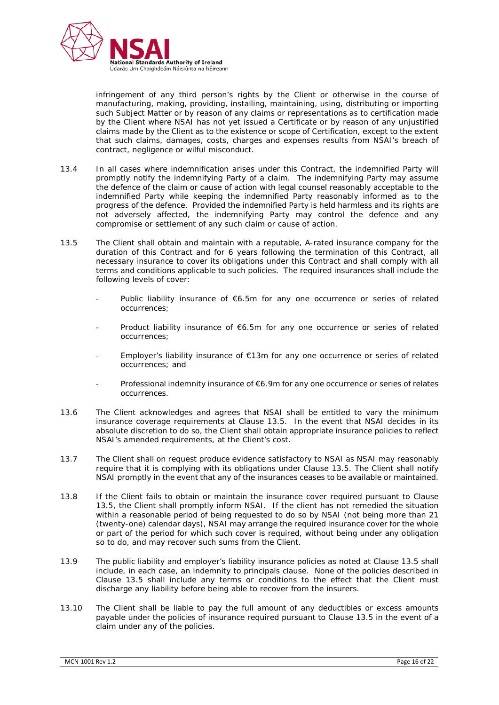

infringement of any third person's rights by the Client or otherwise in the course of manufacturing, making, providing, installing, maintaining, using, distributing or importing such Subject Matter or by reason of any claims or representations as to certification made by the Client where NSAI has not yet issued a Certificate or by reason of any unjustified claims made by the Client as to the existence or scope of Certification, except to the extent that such claims, damages, costs, charges and expenses results from NSAI's breach of contract, negligence or wilful misconduct.

- 13.4 In all cases where indemnification arises under this Contract, the indemnified Party will promptly notify the indemnifying Party of a claim. The indemnifying Party may assume the defence of the claim or cause of action with legal counsel reasonably acceptable to the indemnified Party while keeping the indemnified Party reasonably informed as to the progress of the defence. Provided the indemnified Party is held harmless and its rights are not adversely affected, the indemnifying Party may control the defence and any compromise or settlement of any such claim or cause of action.
- 13.5 The Client shall obtain and maintain with a reputable, A-rated insurance company for the duration of this Contract and for 6 years following the termination of this Contract, all necessary insurance to cover its obligations under this Contract and shall comply with all terms and conditions applicable to such policies. The required insurances shall include the following levels of cover:
	- Public liability insurance of  $\epsilon$ 6.5m for any one occurrence or series of related occurrences;
	- Product liability insurance of  $66.5m$  for any one occurrence or series of related occurrences;
	- Employer's liability insurance of  $E13m$  for any one occurrence or series of related occurrences; and
	- Professional indemnity insurance of €6.9m for any one occurrence or series of relates occurrences.
- 13.6 The Client acknowledges and agrees that NSAI shall be entitled to vary the minimum insurance coverage requirements at Clause 13.5. In the event that NSAI decides in its absolute discretion to do so, the Client shall obtain appropriate insurance policies to reflect NSAI's amended requirements, at the Client's cost.
- 13.7 The Client shall on request produce evidence satisfactory to NSAI as NSAI may reasonably require that it is complying with its obligations under Clause 13.5. The Client shall notify NSAI promptly in the event that any of the insurances ceases to be available or maintained.
- 13.8 If the Client fails to obtain or maintain the insurance cover required pursuant to Clause 13.5, the Client shall promptly inform NSAI. If the client has not remedied the situation within a reasonable period of being requested to do so by NSAI (not being more than 21 (twenty-one) calendar days), NSAI may arrange the required insurance cover for the whole or part of the period for which such cover is required, without being under any obligation so to do, and may recover such sums from the Client.
- 13.9 The public liability and employer's liability insurance policies as noted at Clause 13.5 shall include, in each case, an indemnity to principals clause. None of the policies described in Clause 13.5 shall include any terms or conditions to the effect that the Client must discharge any liability before being able to recover from the insurers.
- 13.10 The Client shall be liable to pay the full amount of any deductibles or excess amounts payable under the policies of insurance required pursuant to Clause 13.5 in the event of a claim under any of the policies.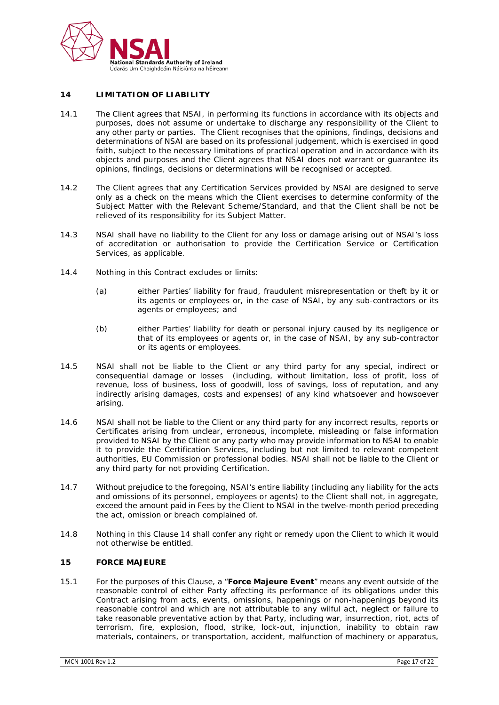

## **14 LIMITATION OF LIABILITY**

- 14.1 The Client agrees that NSAI, in performing its functions in accordance with its objects and purposes, does not assume or undertake to discharge any responsibility of the Client to any other party or parties. The Client recognises that the opinions, findings, decisions and determinations of NSAI are based on its professional judgement, which is exercised in good faith, subject to the necessary limitations of practical operation and in accordance with its objects and purposes and the Client agrees that NSAI does not warrant or guarantee its opinions, findings, decisions or determinations will be recognised or accepted.
- 14.2 The Client agrees that any Certification Services provided by NSAI are designed to serve only as a check on the means which the Client exercises to determine conformity of the Subject Matter with the Relevant Scheme/Standard, and that the Client shall be not be relieved of its responsibility for its Subject Matter.
- 14.3 NSAI shall have no liability to the Client for any loss or damage arising out of NSAI's loss of accreditation or authorisation to provide the Certification Service or Certification Services, as applicable.
- 14.4 Nothing in this Contract excludes or limits:
	- (a) either Parties' liability for fraud, fraudulent misrepresentation or theft by it or its agents or employees or, in the case of NSAI, by any sub-contractors or its agents or employees; and
	- (b) either Parties' liability for death or personal injury caused by its negligence or that of its employees or agents or, in the case of NSAI, by any sub-contractor or its agents or employees.
- 14.5 NSAI shall not be liable to the Client or any third party for any special, indirect or consequential damage or losses (including, without limitation, loss of profit, loss of revenue, loss of business, loss of goodwill, loss of savings, loss of reputation, and any indirectly arising damages, costs and expenses) of any kind whatsoever and howsoever arising.
- 14.6 NSAI shall not be liable to the Client or any third party for any incorrect results, reports or Certificates arising from unclear, erroneous, incomplete, misleading or false information provided to NSAI by the Client or any party who may provide information to NSAI to enable it to provide the Certification Services, including but not limited to relevant competent authorities, EU Commission or professional bodies. NSAI shall not be liable to the Client or any third party for not providing Certification.
- 14.7 Without prejudice to the foregoing, NSAI's entire liability (including any liability for the acts and omissions of its personnel, employees or agents) to the Client shall not, in aggregate, exceed the amount paid in Fees by the Client to NSAI in the twelve-month period preceding the act, omission or breach complained of.
- 14.8 Nothing in this Clause 14 shall confer any right or remedy upon the Client to which it would not otherwise be entitled.

## **15 FORCE MAJEURE**

15.1 For the purposes of this Clause, a "**Force Majeure Event**" means any event outside of the reasonable control of either Party affecting its performance of its obligations under this Contract arising from acts, events, omissions, happenings or non-happenings beyond its reasonable control and which are not attributable to any wilful act, neglect or failure to take reasonable preventative action by that Party, including war, insurrection, riot, acts of terrorism, fire, explosion, flood, strike, lock-out, injunction, inability to obtain raw materials, containers, or transportation, accident, malfunction of machinery or apparatus,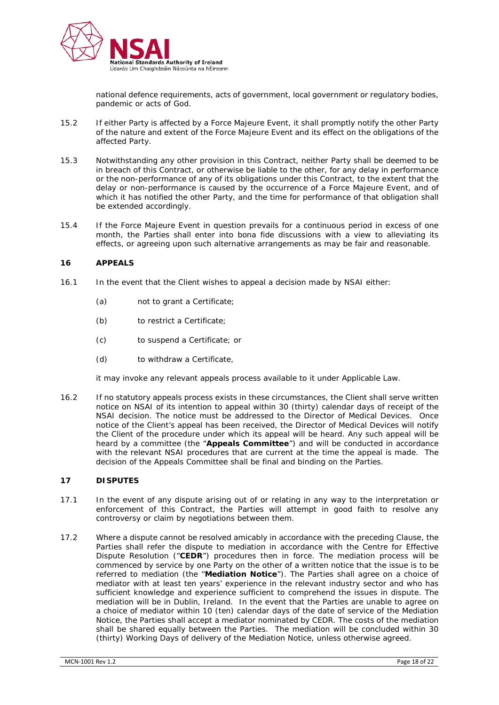

national defence requirements, acts of government, local government or regulatory bodies, pandemic or acts of God.

- 15.2 If either Party is affected by a Force Majeure Event, it shall promptly notify the other Party of the nature and extent of the Force Majeure Event and its effect on the obligations of the affected Party.
- 15.3 Notwithstanding any other provision in this Contract, neither Party shall be deemed to be in breach of this Contract, or otherwise be liable to the other, for any delay in performance or the non-performance of any of its obligations under this Contract, to the extent that the delay or non-performance is caused by the occurrence of a Force Majeure Event, and of which it has notified the other Party, and the time for performance of that obligation shall be extended accordingly.
- 15.4 If the Force Majeure Event in question prevails for a continuous period in excess of one month, the Parties shall enter into bona fide discussions with a view to alleviating its effects, or agreeing upon such alternative arrangements as may be fair and reasonable.

## **16 APPEALS**

- 16.1 In the event that the Client wishes to appeal a decision made by NSAI either:
	- (a) not to grant a Certificate;
	- (b) to restrict a Certificate;
	- (c) to suspend a Certificate; or
	- (d) to withdraw a Certificate,

it may invoke any relevant appeals process available to it under Applicable Law.

16.2 If no statutory appeals process exists in these circumstances, the Client shall serve written notice on NSAI of its intention to appeal within 30 (thirty) calendar days of receipt of the NSAI decision. The notice must be addressed to the Director of Medical Devices. Once notice of the Client's appeal has been received, the Director of Medical Devices will notify the Client of the procedure under which its appeal will be heard. Any such appeal will be heard by a committee (the "**Appeals Committee**") and will be conducted in accordance with the relevant NSAI procedures that are current at the time the appeal is made. The decision of the Appeals Committee shall be final and binding on the Parties.

# **17 DISPUTES**

- 17.1 In the event of any dispute arising out of or relating in any way to the interpretation or enforcement of this Contract, the Parties will attempt in good faith to resolve any controversy or claim by negotiations between them.
- 17.2 Where a dispute cannot be resolved amicably in accordance with the preceding Clause, the Parties shall refer the dispute to mediation in accordance with the Centre for Effective Dispute Resolution ("**CEDR**") procedures then in force. The mediation process will be commenced by service by one Party on the other of a written notice that the issue is to be referred to mediation (the "**Mediation Notice**"). The Parties shall agree on a choice of mediator with at least ten years' experience in the relevant industry sector and who has sufficient knowledge and experience sufficient to comprehend the issues in dispute. The mediation will be in Dublin, Ireland. In the event that the Parties are unable to agree on a choice of mediator within 10 (ten) calendar days of the date of service of the Mediation Notice, the Parties shall accept a mediator nominated by CEDR. The costs of the mediation shall be shared equally between the Parties. The mediation will be concluded within 30 (thirty) Working Days of delivery of the Mediation Notice, unless otherwise agreed.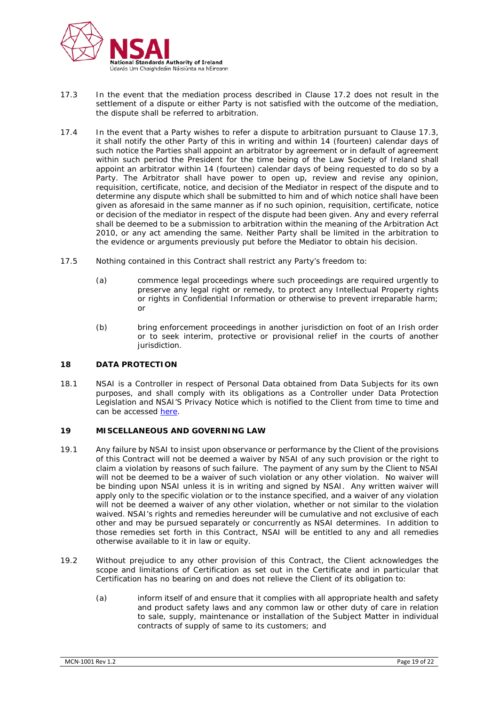

- 17.3 In the event that the mediation process described in Clause 17.2 does not result in the settlement of a dispute or either Party is not satisfied with the outcome of the mediation, the dispute shall be referred to arbitration.
- 17.4 In the event that a Party wishes to refer a dispute to arbitration pursuant to Clause 17.3, it shall notify the other Party of this in writing and within 14 (fourteen) calendar days of such notice the Parties shall appoint an arbitrator by agreement or in default of agreement within such period the President for the time being of the Law Society of Ireland shall appoint an arbitrator within 14 (fourteen) calendar days of being requested to do so by a Party. The Arbitrator shall have power to open up, review and revise any opinion, requisition, certificate, notice, and decision of the Mediator in respect of the dispute and to determine any dispute which shall be submitted to him and of which notice shall have been given as aforesaid in the same manner as if no such opinion, requisition, certificate, notice or decision of the mediator in respect of the dispute had been given. Any and every referral shall be deemed to be a submission to arbitration within the meaning of the Arbitration Act 2010, or any act amending the same. Neither Party shall be limited in the arbitration to the evidence or arguments previously put before the Mediator to obtain his decision.
- 17.5 Nothing contained in this Contract shall restrict any Party's freedom to:
	- (a) commence legal proceedings where such proceedings are required urgently to preserve any legal right or remedy, to protect any Intellectual Property rights or rights in Confidential Information or otherwise to prevent irreparable harm; or
	- (b) bring enforcement proceedings in another jurisdiction on foot of an Irish order or to seek interim, protective or provisional relief in the courts of another jurisdiction.

# **18 DATA PROTECTION**

18.1 NSAI is a Controller in respect of Personal Data obtained from Data Subjects for its own purposes, and shall comply with its obligations as a Controller under Data Protection Legislation and NSAI'S Privacy Notice which is notified to the Client from time to time and can be accessed [here.](https://www.nsai.ie/about/publications/privacy-statement/)

# **19 MISCELLANEOUS AND GOVERNING LAW**

- 19.1 Any failure by NSAI to insist upon observance or performance by the Client of the provisions of this Contract will not be deemed a waiver by NSAI of any such provision or the right to claim a violation by reasons of such failure. The payment of any sum by the Client to NSAI will not be deemed to be a waiver of such violation or any other violation. No waiver will be binding upon NSAI unless it is in writing and signed by NSAI. Any written waiver will apply only to the specific violation or to the instance specified, and a waiver of any violation will not be deemed a waiver of any other violation, whether or not similar to the violation waived. NSAI's rights and remedies hereunder will be cumulative and not exclusive of each other and may be pursued separately or concurrently as NSAI determines. In addition to those remedies set forth in this Contract, NSAI will be entitled to any and all remedies otherwise available to it in law or equity.
- 19.2 Without prejudice to any other provision of this Contract, the Client acknowledges the scope and limitations of Certification as set out in the Certificate and in particular that Certification has no bearing on and does not relieve the Client of its obligation to:
	- (a) inform itself of and ensure that it complies with all appropriate health and safety and product safety laws and any common law or other duty of care in relation to sale, supply, maintenance or installation of the Subject Matter in individual contracts of supply of same to its customers; and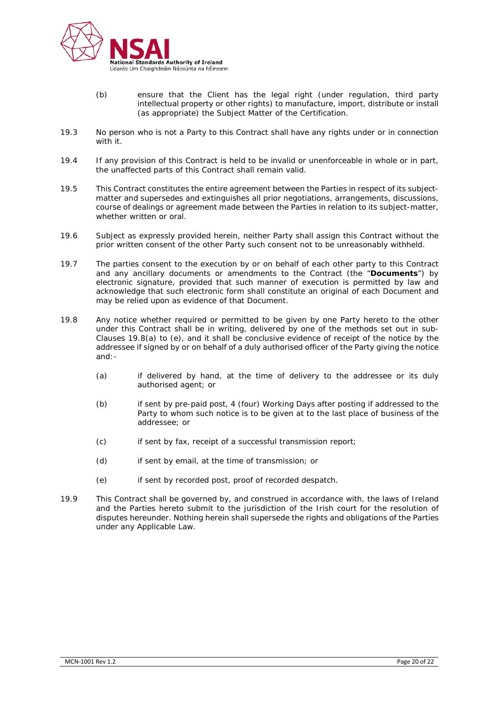

- (b) ensure that the Client has the legal right (under regulation, third party intellectual property or other rights) to manufacture, import, distribute or install (as appropriate) the Subject Matter of the Certification.
- 19.3 No person who is not a Party to this Contract shall have any rights under or in connection with it.
- 19.4 If any provision of this Contract is held to be invalid or unenforceable in whole or in part, the unaffected parts of this Contract shall remain valid.
- 19.5 This Contract constitutes the entire agreement between the Parties in respect of its subjectmatter and supersedes and extinguishes all prior negotiations, arrangements, discussions, course of dealings or agreement made between the Parties in relation to its subject-matter, whether written or oral.
- 19.6 Subject as expressly provided herein, neither Party shall assign this Contract without the prior written consent of the other Party such consent not to be unreasonably withheld.
- 19.7 The parties consent to the execution by or on behalf of each other party to this Contract and any ancillary documents or amendments to the Contract (the "**Documents**") by electronic signature, provided that such manner of execution is permitted by law and acknowledge that such electronic form shall constitute an original of each Document and may be relied upon as evidence of that Document.
- 19.8 Any notice whether required or permitted to be given by one Party hereto to the other under this Contract shall be in writing, delivered by one of the methods set out in sub-Clauses 19.8(a) to (e), and it shall be conclusive evidence of receipt of the notice by the addressee if signed by or on behalf of a duly authorised officer of the Party giving the notice and:-
	- (a) if delivered by hand, at the time of delivery to the addressee or its duly authorised agent; or
	- (b) if sent by pre-paid post, 4 (four) Working Days after posting if addressed to the Party to whom such notice is to be given at to the last place of business of the addressee; or
	- (c) if sent by fax, receipt of a successful transmission report;
	- (d) if sent by email, at the time of transmission; or
	- (e) if sent by recorded post, proof of recorded despatch.
- 19.9 This Contract shall be governed by, and construed in accordance with, the laws of Ireland and the Parties hereto submit to the jurisdiction of the Irish court for the resolution of disputes hereunder. Nothing herein shall supersede the rights and obligations of the Parties under any Applicable Law.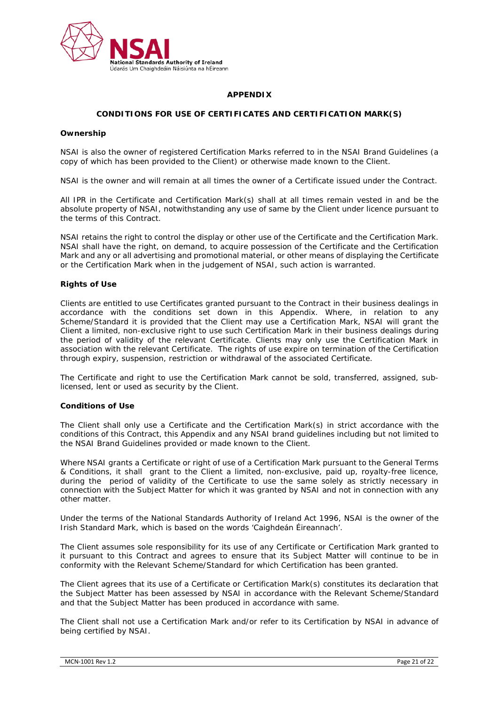

## **APPENDIX**

# **CONDITIONS FOR USE OF CERTIFICATES AND CERTIFICATION MARK(S)**

#### **Ownership**

NSAI is also the owner of registered Certification Marks referred to in the NSAI Brand Guidelines (a copy of which has been provided to the Client) or otherwise made known to the Client.

NSAI is the owner and will remain at all times the owner of a Certificate issued under the Contract.

All IPR in the Certificate and Certification Mark(s) shall at all times remain vested in and be the absolute property of NSAI, notwithstanding any use of same by the Client under licence pursuant to the terms of this Contract.

NSAI retains the right to control the display or other use of the Certificate and the Certification Mark. NSAI shall have the right, on demand, to acquire possession of the Certificate and the Certification Mark and any or all advertising and promotional material, or other means of displaying the Certificate or the Certification Mark when in the judgement of NSAI, such action is warranted.

## **Rights of Use**

Clients are entitled to use Certificates granted pursuant to the Contract in their business dealings in accordance with the conditions set down in this Appendix. Where, in relation to any Scheme/Standard it is provided that the Client may use a Certification Mark, NSAI will grant the Client a limited, non-exclusive right to use such Certification Mark in their business dealings during the period of validity of the relevant Certificate. Clients may only use the Certification Mark in association with the relevant Certificate. The rights of use expire on termination of the Certification through expiry, suspension, restriction or withdrawal of the associated Certificate.

The Certificate and right to use the Certification Mark cannot be sold, transferred, assigned, sublicensed, lent or used as security by the Client.

#### **Conditions of Use**

The Client shall only use a Certificate and the Certification Mark(s) in strict accordance with the conditions of this Contract, this Appendix and any NSAI brand guidelines including but not limited to the NSAI Brand Guidelines provided or made known to the Client.

Where NSAI grants a Certificate or right of use of a Certification Mark pursuant to the General Terms & Conditions, it shall grant to the Client a limited, non-exclusive, paid up, royalty-free licence, during the period of validity of the Certificate to use the same solely as strictly necessary in connection with the Subject Matter for which it was granted by NSAI and not in connection with any other matter.

Under the terms of the National Standards Authority of Ireland Act 1996, NSAI is the owner of the Irish Standard Mark, which is based on the words 'Caighdeán Éireannach'.

The Client assumes sole responsibility for its use of any Certificate or Certification Mark granted to it pursuant to this Contract and agrees to ensure that its Subject Matter will continue to be in conformity with the Relevant Scheme/Standard for which Certification has been granted.

The Client agrees that its use of a Certificate or Certification Mark(s) constitutes its declaration that the Subject Matter has been assessed by NSAI in accordance with the Relevant Scheme/Standard and that the Subject Matter has been produced in accordance with same.

The Client shall not use a Certification Mark and/or refer to its Certification by NSAI in advance of being certified by NSAI.